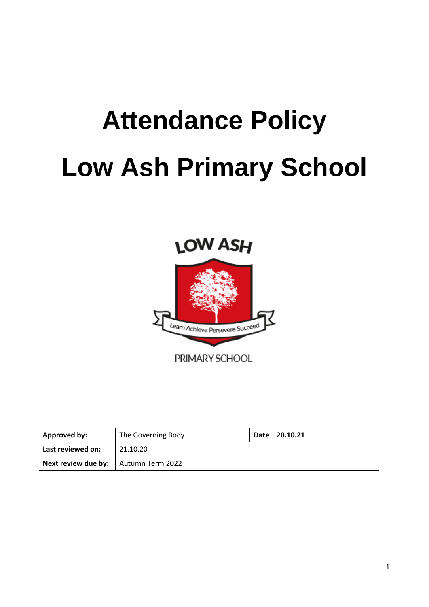# **Attendance Policy Low Ash Primary School**



| <b>Approved by:</b>                           | The Governing Body | Date 20.10.21 |
|-----------------------------------------------|--------------------|---------------|
| Last reviewed on:                             | 21.10.20           |               |
| <b>Next review due by:</b>   Autumn Term 2022 |                    |               |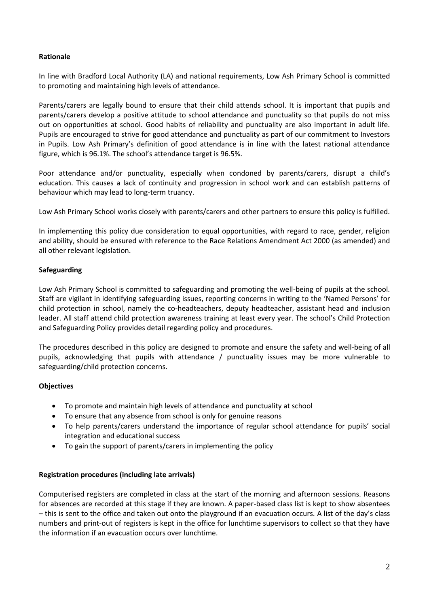## **Rationale**

In line with Bradford Local Authority (LA) and national requirements, Low Ash Primary School is committed to promoting and maintaining high levels of attendance.

Parents/carers are legally bound to ensure that their child attends school. It is important that pupils and parents/carers develop a positive attitude to school attendance and punctuality so that pupils do not miss out on opportunities at school. Good habits of reliability and punctuality are also important in adult life. Pupils are encouraged to strive for good attendance and punctuality as part of our commitment to Investors in Pupils. Low Ash Primary's definition of good attendance is in line with the latest national attendance figure, which is 96.1%. The school's attendance target is 96.5%.

Poor attendance and/or punctuality, especially when condoned by parents/carers, disrupt a child's education. This causes a lack of continuity and progression in school work and can establish patterns of behaviour which may lead to long-term truancy.

Low Ash Primary School works closely with parents/carers and other partners to ensure this policy is fulfilled.

In implementing this policy due consideration to equal opportunities, with regard to race, gender, religion and ability, should be ensured with reference to the Race Relations Amendment Act 2000 (as amended) and all other relevant legislation.

## **Safeguarding**

Low Ash Primary School is committed to safeguarding and promoting the well-being of pupils at the school. Staff are vigilant in identifying safeguarding issues, reporting concerns in writing to the 'Named Persons' for child protection in school, namely the co-headteachers, deputy headteacher, assistant head and inclusion leader. All staff attend child protection awareness training at least every year. The school's Child Protection and Safeguarding Policy provides detail regarding policy and procedures.

The procedures described in this policy are designed to promote and ensure the safety and well-being of all pupils, acknowledging that pupils with attendance / punctuality issues may be more vulnerable to safeguarding/child protection concerns.

# **Objectives**

- To promote and maintain high levels of attendance and punctuality at school
- To ensure that any absence from school is only for genuine reasons
- To help parents/carers understand the importance of regular school attendance for pupils' social integration and educational success
- To gain the support of parents/carers in implementing the policy

#### **Registration procedures (including late arrivals)**

Computerised registers are completed in class at the start of the morning and afternoon sessions. Reasons for absences are recorded at this stage if they are known. A paper-based class list is kept to show absentees – this is sent to the office and taken out onto the playground if an evacuation occurs. A list of the day's class numbers and print-out of registers is kept in the office for lunchtime supervisors to collect so that they have the information if an evacuation occurs over lunchtime.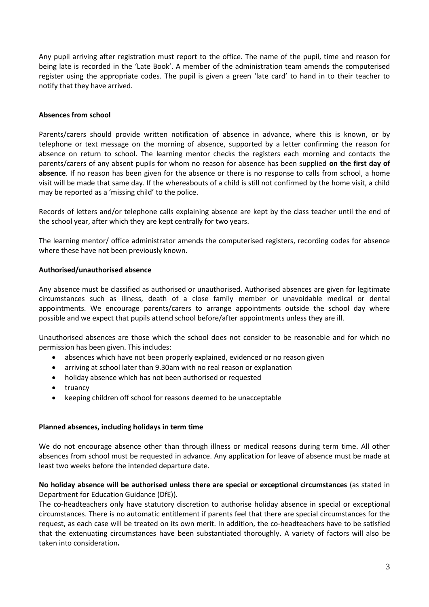Any pupil arriving after registration must report to the office. The name of the pupil, time and reason for being late is recorded in the 'Late Book'. A member of the administration team amends the computerised register using the appropriate codes. The pupil is given a green 'late card' to hand in to their teacher to notify that they have arrived.

## **Absences from school**

Parents/carers should provide written notification of absence in advance, where this is known, or by telephone or text message on the morning of absence, supported by a letter confirming the reason for absence on return to school. The learning mentor checks the registers each morning and contacts the parents/carers of any absent pupils for whom no reason for absence has been supplied **on the first day of absence**. If no reason has been given for the absence or there is no response to calls from school, a home visit will be made that same day. If the whereabouts of a child is still not confirmed by the home visit, a child may be reported as a 'missing child' to the police.

Records of letters and/or telephone calls explaining absence are kept by the class teacher until the end of the school year, after which they are kept centrally for two years.

The learning mentor/ office administrator amends the computerised registers, recording codes for absence where these have not been previously known.

## **Authorised/unauthorised absence**

Any absence must be classified as authorised or unauthorised. Authorised absences are given for legitimate circumstances such as illness, death of a close family member or unavoidable medical or dental appointments. We encourage parents/carers to arrange appointments outside the school day where possible and we expect that pupils attend school before/after appointments unless they are ill.

Unauthorised absences are those which the school does not consider to be reasonable and for which no permission has been given. This includes:

- absences which have not been properly explained, evidenced or no reason given
- arriving at school later than 9.30am with no real reason or explanation
- holiday absence which has not been authorised or requested
- truancy
- keeping children off school for reasons deemed to be unacceptable

#### **Planned absences, including holidays in term time**

We do not encourage absence other than through illness or medical reasons during term time. All other absences from school must be requested in advance. Any application for leave of absence must be made at least two weeks before the intended departure date.

## **No holiday absence will be authorised unless there are special or exceptional circumstances** (as stated in Department for Education Guidance (DfE)).

The co-headteachers only have statutory discretion to authorise holiday absence in special or exceptional circumstances. There is no automatic entitlement if parents feel that there are special circumstances for the request, as each case will be treated on its own merit. In addition, the co-headteachers have to be satisfied that the extenuating circumstances have been substantiated thoroughly. A variety of factors will also be taken into consideration**.**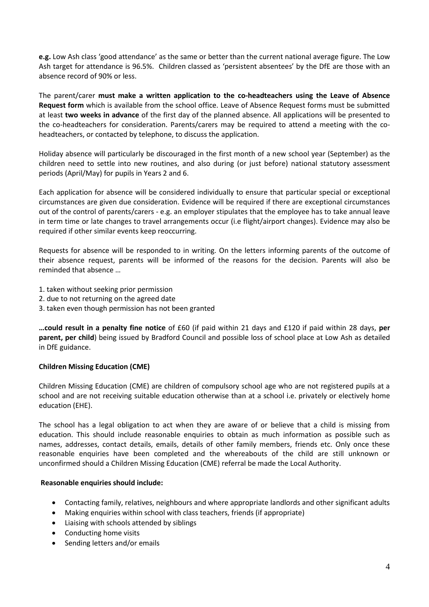**e.g.** Low Ash class 'good attendance' as the same or better than the current national average figure. The Low Ash target for attendance is 96.5%. Children classed as 'persistent absentees' by the DfE are those with an absence record of 90% or less.

The parent/carer **must make a written application to the co-headteachers using the Leave of Absence Request form** which is available from the school office. Leave of Absence Request forms must be submitted at least **two weeks in advance** of the first day of the planned absence. All applications will be presented to the co-headteachers for consideration. Parents/carers may be required to attend a meeting with the coheadteachers, or contacted by telephone, to discuss the application.

Holiday absence will particularly be discouraged in the first month of a new school year (September) as the children need to settle into new routines, and also during (or just before) national statutory assessment periods (April/May) for pupils in Years 2 and 6.

Each application for absence will be considered individually to ensure that particular special or exceptional circumstances are given due consideration. Evidence will be required if there are exceptional circumstances out of the control of parents/carers - e.g. an employer stipulates that the employee has to take annual leave in term time or late changes to travel arrangements occur (i.e flight/airport changes). Evidence may also be required if other similar events keep reoccurring.

Requests for absence will be responded to in writing. On the letters informing parents of the outcome of their absence request, parents will be informed of the reasons for the decision. Parents will also be reminded that absence …

- 1. taken without seeking prior permission
- 2. due to not returning on the agreed date
- 3. taken even though permission has not been granted

**…could result in a penalty fine notice** of £60 (if paid within 21 days and £120 if paid within 28 days, **per parent, per child**) being issued by Bradford Council and possible loss of school place at Low Ash as detailed in DfE guidance.

# **Children Missing Education (CME)**

Children Missing Education (CME) are children of compulsory school age who are not registered pupils at a school and are not receiving suitable education otherwise than at a school i.e. privately or electively home education (EHE).

The school has a legal obligation to act when they are aware of or believe that a child is missing from education. This should include reasonable enquiries to obtain as much information as possible such as names, addresses, contact details, emails, details of other family members, friends etc. Only once these reasonable enquiries have been completed and the whereabouts of the child are still unknown or unconfirmed should a Children Missing Education (CME) referral be made the Local Authority.

#### **Reasonable enquiries should include:**

- Contacting family, relatives, neighbours and where appropriate landlords and other significant adults
- Making enquiries within school with class teachers, friends (if appropriate)
- Liaising with schools attended by siblings
- Conducting home visits
- Sending letters and/or emails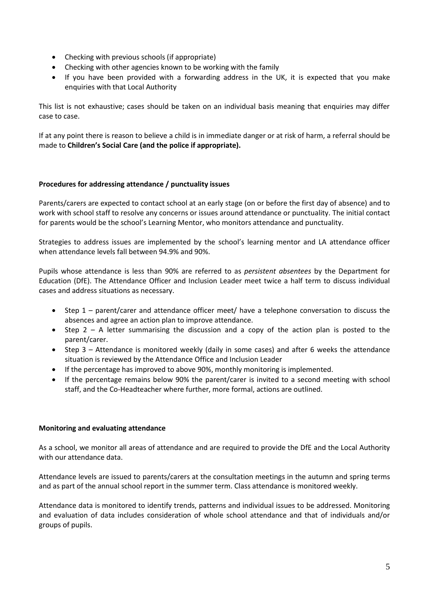- Checking with previous schools (if appropriate)
- Checking with other agencies known to be working with the family
- If you have been provided with a forwarding address in the UK, it is expected that you make enquiries with that Local Authority

This list is not exhaustive; cases should be taken on an individual basis meaning that enquiries may differ case to case.

If at any point there is reason to believe a child is in immediate danger or at risk of harm, a referral should be made to **Children's Social Care (and the police if appropriate).**

# **Procedures for addressing attendance / punctuality issues**

Parents/carers are expected to contact school at an early stage (on or before the first day of absence) and to work with school staff to resolve any concerns or issues around attendance or punctuality. The initial contact for parents would be the school's Learning Mentor, who monitors attendance and punctuality.

Strategies to address issues are implemented by the school's learning mentor and LA attendance officer when attendance levels fall between 94.9% and 90%.

Pupils whose attendance is less than 90% are referred to as *persistent absentees* by the Department for Education (DfE). The Attendance Officer and Inclusion Leader meet twice a half term to discuss individual cases and address situations as necessary.

- Step 1 parent/carer and attendance officer meet/ have a telephone conversation to discuss the absences and agree an action plan to improve attendance.
- Step 2 A letter summarising the discussion and a copy of the action plan is posted to the parent/carer.
- Step 3 Attendance is monitored weekly (daily in some cases) and after 6 weeks the attendance situation is reviewed by the Attendance Office and Inclusion Leader
- If the percentage has improved to above 90%, monthly monitoring is implemented.
- If the percentage remains below 90% the parent/carer is invited to a second meeting with school staff, and the Co-Headteacher where further, more formal, actions are outlined.

#### **Monitoring and evaluating attendance**

As a school, we monitor all areas of attendance and are required to provide the DfE and the Local Authority with our attendance data.

Attendance levels are issued to parents/carers at the consultation meetings in the autumn and spring terms and as part of the annual school report in the summer term. Class attendance is monitored weekly.

Attendance data is monitored to identify trends, patterns and individual issues to be addressed. Monitoring and evaluation of data includes consideration of whole school attendance and that of individuals and/or groups of pupils.